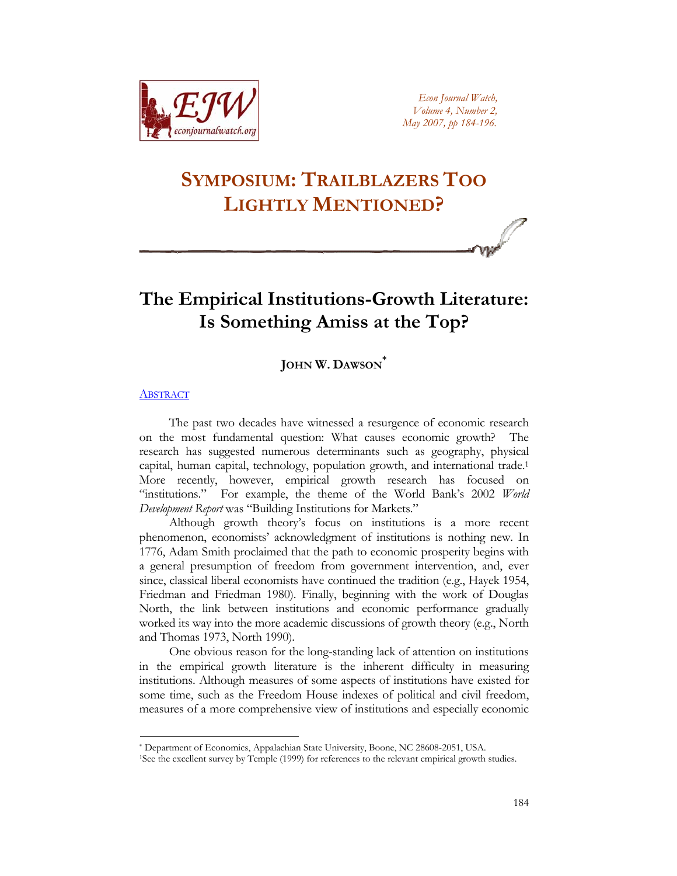

*Econ Journal Watch, Volume 4, Number 2, May 2007, pp 184-196.*

# **SYMPOSIUM: TRAILBLAZERS TOO LIGHTLY MENTIONED?**

## **The Empirical Institutions-Growth Literature: Is Something Amiss at the Top?**

## **JOHN W. DAWSON[\\*](#page-0-0)**

#### **[ABSTRACT](http://www.econjournalwatch.org/pdf/DawsonAbstractMay2007.pdf)**

The past two decades have witnessed a resurgence of economic research on the most fundamental question: What causes economic growth? The research has suggested numerous determinants such as geography, physical capital, human capital, technology, population growth, and international trade[.1](#page-0-1)  More recently, however, empirical growth research has focused on "institutions." For example, the theme of the World Bank's 2002 *World Development Report* was "Building Institutions for Markets."

Although growth theory's focus on institutions is a more recent phenomenon, economists' acknowledgment of institutions is nothing new. In 1776, Adam Smith proclaimed that the path to economic prosperity begins with a general presumption of freedom from government intervention, and, ever since, classical liberal economists have continued the tradition (e.g., Hayek 1954, Friedman and Friedman 1980). Finally, beginning with the work of Douglas North, the link between institutions and economic performance gradually worked its way into the more academic discussions of growth theory (e.g., North and Thomas 1973, North 1990).

One obvious reason for the long-standing lack of attention on institutions in the empirical growth literature is the inherent difficulty in measuring institutions. Although measures of some aspects of institutions have existed for some time, such as the Freedom House indexes of political and civil freedom, measures of a more comprehensive view of institutions and especially economic

<span id="page-0-1"></span><span id="page-0-0"></span>

<sup>\*</sup> Department of Economics, Appalachian State University, Boone, NC 28608-2051, USA. 1See the excellent survey by Temple (1999) for references to the relevant empirical growth studies.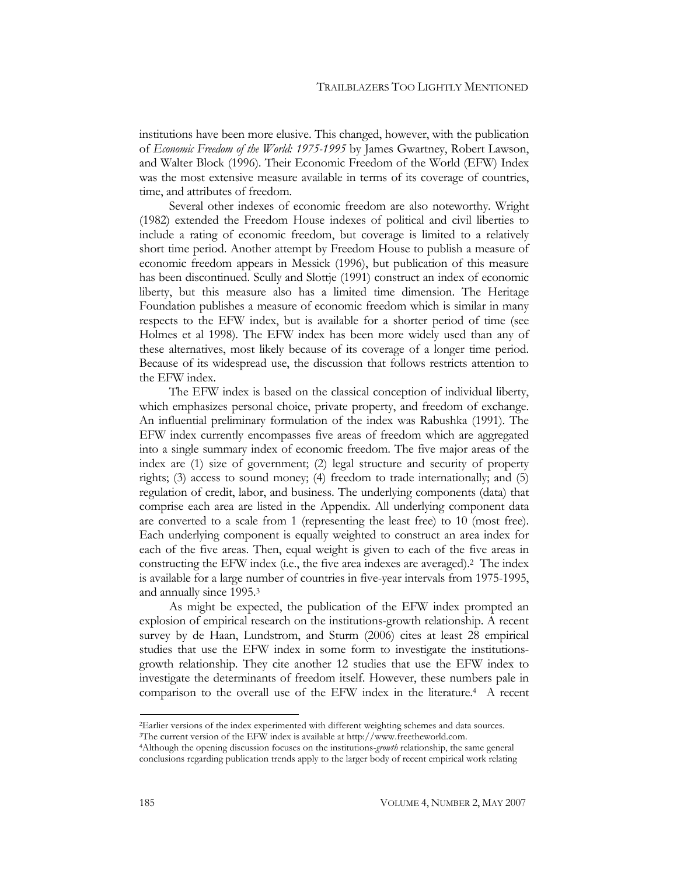institutions have been more elusive. This changed, however, with the publication of *Economic Freedom of the World: 1975-1995* by James Gwartney, Robert Lawson, and Walter Block (1996). Their Economic Freedom of the World (EFW) Index was the most extensive measure available in terms of its coverage of countries, time, and attributes of freedom.

Several other indexes of economic freedom are also noteworthy. Wright (1982) extended the Freedom House indexes of political and civil liberties to include a rating of economic freedom, but coverage is limited to a relatively short time period. Another attempt by Freedom House to publish a measure of economic freedom appears in Messick (1996), but publication of this measure has been discontinued. Scully and Slottje (1991) construct an index of economic liberty, but this measure also has a limited time dimension. The Heritage Foundation publishes a measure of economic freedom which is similar in many respects to the EFW index, but is available for a shorter period of time (see Holmes et al 1998). The EFW index has been more widely used than any of these alternatives, most likely because of its coverage of a longer time period. Because of its widespread use, the discussion that follows restricts attention to the EFW index.

The EFW index is based on the classical conception of individual liberty, which emphasizes personal choice, private property, and freedom of exchange. An influential preliminary formulation of the index was Rabushka (1991). The EFW index currently encompasses five areas of freedom which are aggregated into a single summary index of economic freedom. The five major areas of the index are (1) size of government; (2) legal structure and security of property rights; (3) access to sound money; (4) freedom to trade internationally; and (5) regulation of credit, labor, and business. The underlying components (data) that comprise each area are listed in the Appendix. All underlying component data are converted to a scale from 1 (representing the least free) to 10 (most free). Each underlying component is equally weighted to construct an area index for each of the five areas. Then, equal weight is given to each of the five areas in constructing the EFW index (i.e., the five area indexes are averaged). [2](#page-1-0) The index is available for a large number of countries in five-year intervals from 1975-1995, and annually since 1995.[3](#page-1-1)

As might be expected, the publication of the EFW index prompted an explosion of empirical research on the institutions-growth relationship. A recent survey by de Haan, Lundstrom, and Sturm (2006) cites at least 28 empirical studies that use the EFW index in some form to investigate the institutionsgrowth relationship. They cite another 12 studies that use the EFW index to investigate the determinants of freedom itself. However, these numbers pale in comparison to the overall use of the EFW index in the literature. [4](#page-1-2) A recent

<span id="page-1-0"></span><sup>&</sup>lt;sup>2</sup>Earlier versions of the index experimented with different weighting schemes and data sources.<br><sup>3</sup>The current version of the EFW index is available at http://www.freetheworld.com.<br><sup>4</sup>Although the opening discussion focus

<span id="page-1-1"></span>

<span id="page-1-2"></span>conclusions regarding publication trends apply to the larger body of recent empirical work relating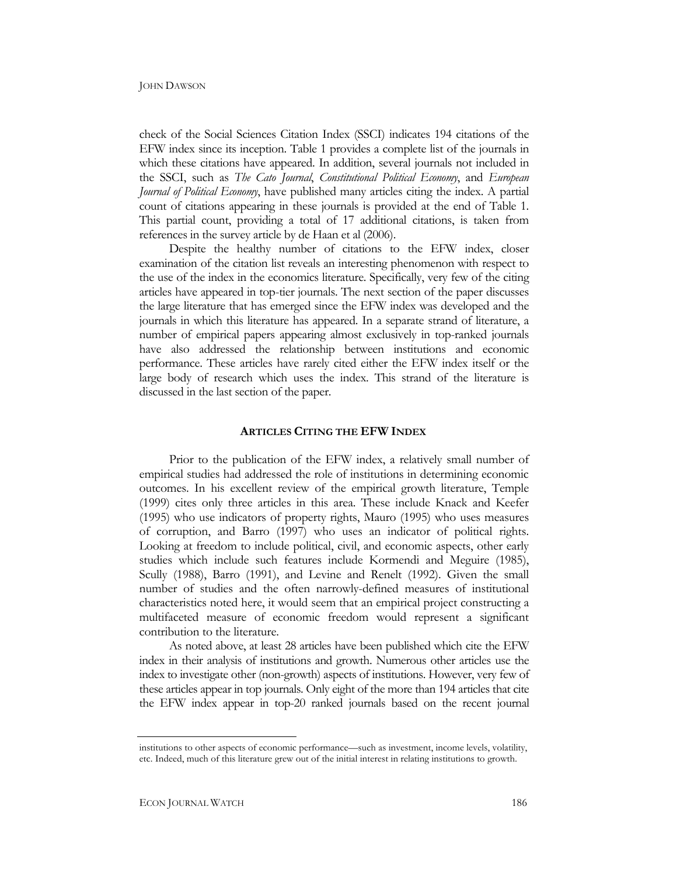check of the Social Sciences Citation Index (SSCI) indicates 194 citations of the EFW index since its inception. Table 1 provides a complete list of the journals in which these citations have appeared. In addition, several journals not included in the SSCI, such as *The Cato Journal*, *Constitutional Political Economy*, and *European Journal of Political Economy*, have published many articles citing the index. A partial count of citations appearing in these journals is provided at the end of Table 1. This partial count, providing a total of 17 additional citations, is taken from references in the survey article by de Haan et al (2006).

Despite the healthy number of citations to the EFW index, closer examination of the citation list reveals an interesting phenomenon with respect to the use of the index in the economics literature. Specifically, very few of the citing articles have appeared in top-tier journals. The next section of the paper discusses the large literature that has emerged since the EFW index was developed and the journals in which this literature has appeared. In a separate strand of literature, a number of empirical papers appearing almost exclusively in top-ranked journals have also addressed the relationship between institutions and economic performance. These articles have rarely cited either the EFW index itself or the large body of research which uses the index. This strand of the literature is discussed in the last section of the paper.

#### **ARTICLES CITING THE EFW INDEX**

Prior to the publication of the EFW index, a relatively small number of empirical studies had addressed the role of institutions in determining economic outcomes. In his excellent review of the empirical growth literature, Temple (1999) cites only three articles in this area. These include Knack and Keefer (1995) who use indicators of property rights, Mauro (1995) who uses measures of corruption, and Barro (1997) who uses an indicator of political rights. Looking at freedom to include political, civil, and economic aspects, other early studies which include such features include Kormendi and Meguire (1985), Scully (1988), Barro (1991), and Levine and Renelt (1992). Given the small number of studies and the often narrowly-defined measures of institutional characteristics noted here, it would seem that an empirical project constructing a multifaceted measure of economic freedom would represent a significant contribution to the literature.

As noted above, at least 28 articles have been published which cite the EFW index in their analysis of institutions and growth. Numerous other articles use the index to investigate other (non-growth) aspects of institutions. However, very few of these articles appear in top journals. Only eight of the more than 194 articles that cite the EFW index appear in top-20 ranked journals based on the recent journal

institutions to other aspects of economic performance—such as investment, income levels, volatility, etc. Indeed, much of this literature grew out of the initial interest in relating institutions to growth.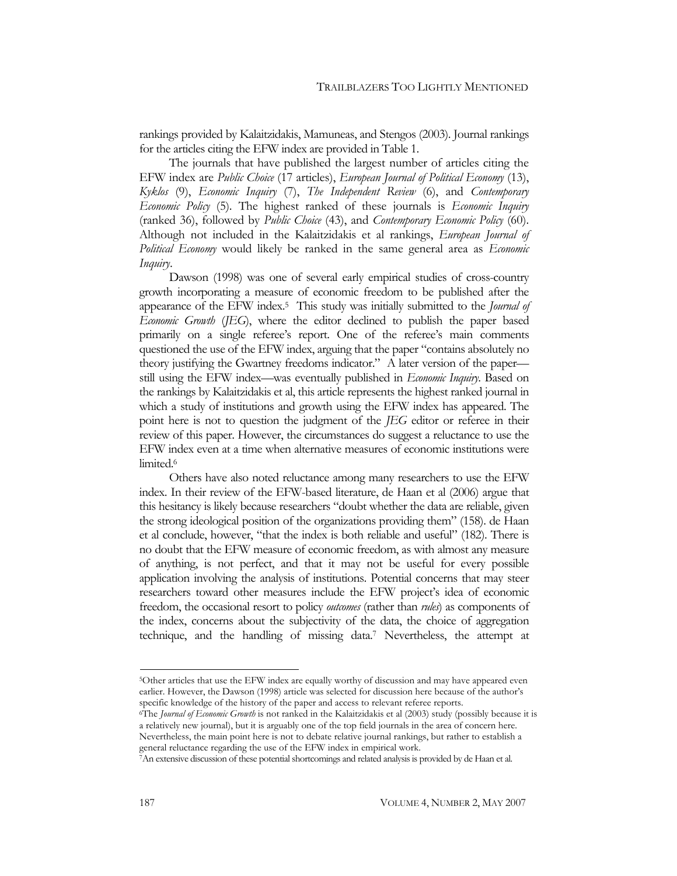rankings provided by Kalaitzidakis, Mamuneas, and Stengos (2003). Journal rankings for the articles citing the EFW index are provided in Table 1.

The journals that have published the largest number of articles citing the EFW index are *Public Choice* (17 articles), *European Journal of Political Economy* (13), *Kyklos* (9), *Economic Inquiry* (7), *The Independent Review* (6), and *Contemporary Economic Policy* (5). The highest ranked of these journals is *Economic Inquiry* (ranked 36), followed by *Public Choice* (43), and *Contemporary Economic Policy* (60). Although not included in the Kalaitzidakis et al rankings, *European Journal of Political Economy* would likely be ranked in the same general area as *Economic Inquiry*.

Dawson (1998) was one of several early empirical studies of cross-country growth incorporating a measure of economic freedom to be published after the appearance of the EFW index[.5](#page-3-0) This study was initially submitted to the *Journal of Economic Growth* (*JEG*), where the editor declined to publish the paper based primarily on a single referee's report. One of the referee's main comments questioned the use of the EFW index, arguing that the paper "contains absolutely no theory justifying the Gwartney freedoms indicator." A later version of the paper still using the EFW index—was eventually published in *Economic Inquiry*. Based on the rankings by Kalaitzidakis et al, this article represents the highest ranked journal in which a study of institutions and growth using the EFW index has appeared. The point here is not to question the judgment of the *JEG* editor or referee in their review of this paper. However, the circumstances do suggest a reluctance to use the EFW index even at a time when alternative measures of economic institutions were limited.<sup>6</sup>

Others have also noted reluctance among many researchers to use the EFW index. In their review of the EFW-based literature, de Haan et al (2006) argue that this hesitancy is likely because researchers "doubt whether the data are reliable, given the strong ideological position of the organizations providing them" (158). de Haan et al conclude, however, "that the index is both reliable and useful" (182). There is no doubt that the EFW measure of economic freedom, as with almost any measure of anything, is not perfect, and that it may not be useful for every possible application involving the analysis of institutions. Potential concerns that may steer researchers toward other measures include the EFW project's idea of economic freedom, the occasional resort to policy *outcomes* (rather than *rules*) as components of the index, concerns about the subjectivity of the data, the choice of aggregation technique, and the handling of missing data[.7](#page-3-2) Nevertheless, the attempt at

<span id="page-3-0"></span><sup>5</sup>Other articles that use the EFW index are equally worthy of discussion and may have appeared even earlier. However, the Dawson (1998) article was selected for discussion here because of the author's specific knowledge of the history of the paper and access to relevant referee reports.<br><sup>6</sup>The *Journal of Economic Growth* is not ranked in the Kalaitzidakis et al (2003) study (possibly because it is

<span id="page-3-1"></span>a relatively new journal), but it is arguably one of the top field journals in the area of concern here. Nevertheless, the main point here is not to debate relative journal rankings, but rather to establish a

<span id="page-3-2"></span><sup>7</sup>An extensive discussion of these potential shortcomings and related analysis is provided by de Haan et al.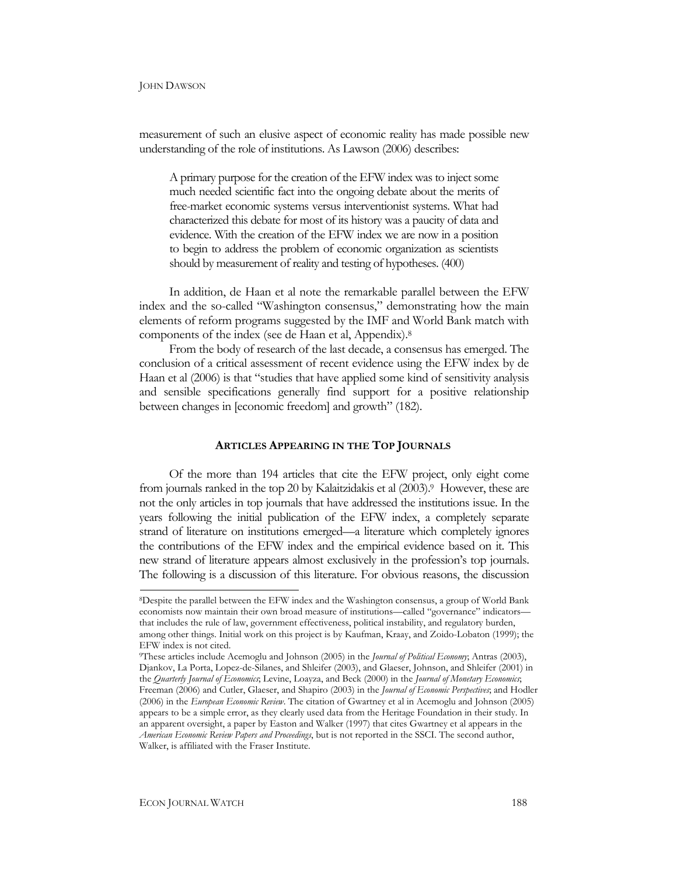measurement of such an elusive aspect of economic reality has made possible new understanding of the role of institutions. As Lawson (2006) describes:

A primary purpose for the creation of the EFW index was to inject some much needed scientific fact into the ongoing debate about the ments of free-market economic systems versus interventionist systems. What had characterized this debate for most of its history was a paucity of data and evidence. With the creation of the EFW index we are now in a position to begin to address the problem of economic organization as scientists should by measurement of reality and testing of hypotheses. (400)

In addition, de Haan et al note the remarkable parallel between the EFW index and the so-called "Washington consensus," demonstrating how the main elements of reform programs suggested by the IMF and World Bank match with components of the index (see de Haan et al, Appendix)[.8](#page-4-0)

From the body of research of the last decade, a consensus has emerged. The conclusion of a critical assessment of recent evidence using the EFW index by de Haan et al (2006) is that "studies that have applied some kind of sensitivity analysis and sensible specifications generally find support for a positive relationship between changes in [economic freedom] and growth" (182).

#### **ARTICLES APPEARING IN THE TOP JOURNALS**

Of the more than 194 articles that cite the EFW project, only eight come from journals ranked in the top 20 by Kalaitzidakis et al (2003)[.9](#page-4-1) However, these are not the only articles in top journals that have addressed the institutions issue. In the years following the initial publication of the EFW index, a completely separate strand of literature on institutions emerged—a literature which completely ignores the contributions of the EFW index and the empirical evidence based on it. This new strand of literature appears almost exclusively in the profession's top journals. The following is a discussion of this literature. For obvious reasons, the discussion

<span id="page-4-0"></span><sup>8</sup>Despite the parallel between the EFW index and the Washington consensus, a group of World Bank economists now maintain their own broad measure of institutions—called "governance" indicators that includes the rule of law, government effectiveness, political instability, and regulatory burden, among other things. Initial work on this project is by Kaufman, Kraay, and Zoido-Lobaton (1999); the EFW index is not cited.

<span id="page-4-1"></span><sup>9</sup>These articles include Acemoglu and Johnson (2005) in the *Journal of Political Economy*; Antras (2003), Djankov, La Porta, Lopez-de-Silanes, and Shleifer (2003), and Glaeser, Johnson, and Shleifer (2001) in the *Quarterly Journal of Economics*; Levine, Loayza, and Beck (2000) in the *Journal of Monetary Economics*; Freeman (2006) and Cutler, Glaeser, and Shapiro (2003) in the *Journal of Economic Perspectives*; and Hodler (2006) in the *European Economic Review*. The citation of Gwartney et al in Acemoglu and Johnson (2005) appears to be a simple error, as they clearly used data from the Heritage Foundation in their study. In an apparent oversight, a paper by Easton and Walker (1997) that cites Gwartney et al appears in the *American Economic Review Papers and Proceedings*, but is not reported in the SSCI. The second author, Walker, is affiliated with the Fraser Institute.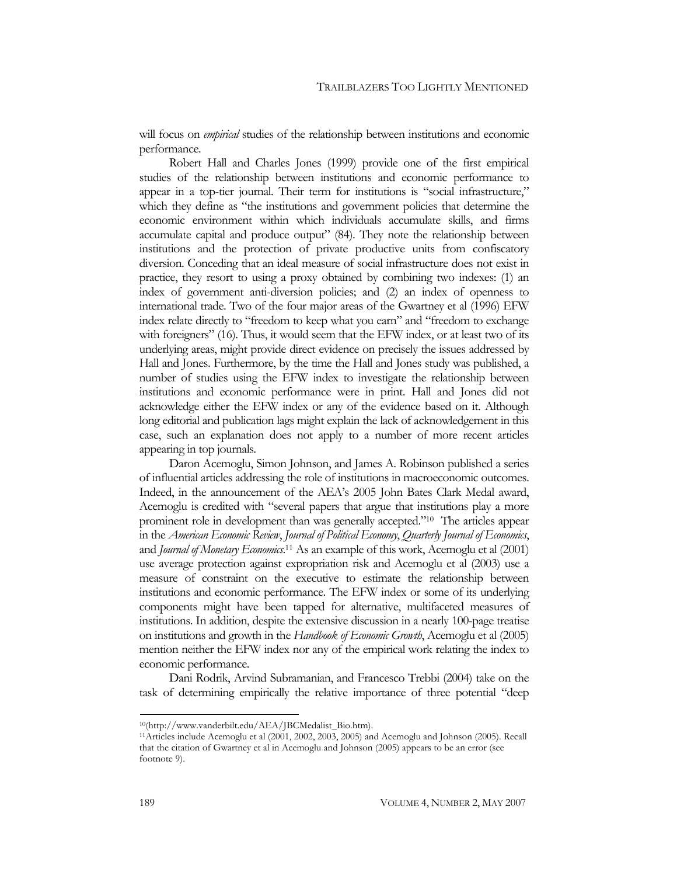will focus on *empirical* studies of the relationship between institutions and economic performance.

Robert Hall and Charles Jones (1999) provide one of the first empirical studies of the relationship between institutions and economic performance to appear in a top-tier journal. Their term for institutions is "social infrastructure," which they define as "the institutions and government policies that determine the economic environment within which individuals accumulate skills, and firms accumulate capital and produce output" (84). They note the relationship between institutions and the protection of private productive units from confiscatory diversion. Conceding that an ideal measure of social infrastructure does not exist in practice, they resort to using a proxy obtained by combining two indexes: (1) an index of government anti-diversion policies; and (2) an index of openness to international trade. Two of the four major areas of the Gwartney et al (1996) EFW index relate directly to "freedom to keep what you earn" and "freedom to exchange with foreigners" (16). Thus, it would seem that the EFW index, or at least two of its underlying areas, might provide direct evidence on precisely the issues addressed by Hall and Jones. Furthermore, by the time the Hall and Jones study was published, a number of studies using the EFW index to investigate the relationship between institutions and economic performance were in print. Hall and Jones did not acknowledge either the EFW index or any of the evidence based on it. Although long editorial and publication lags might explain the lack of acknowledgement in this case, such an explanation does not apply to a number of more recent articles appearing in top journals.

Daron Acemoglu, Simon Johnson, and James A. Robinson published a series of influential articles addressing the role of institutions in macroeconomic outcomes. Indeed, in the announcement of the AEA's 2005 John Bates Clark Medal award, Acemoglu is credited with "several papers that argue that institutions play a more prominent role in development than was generally accepted.["10](#page-5-0) The articles appear in the *American Economic Review*, *Journal of Political Economy*, *Quarterly Journal of Economics*, and *Journal of Monetary Economics*. [11](#page-5-1) As an example of this work, Acemoglu et al (2001) use average protection against expropriation risk and Acemoglu et al (2003) use a measure of constraint on the executive to estimate the relationship between institutions and economic performance. The EFW index or some of its underlying components might have been tapped for alternative, multifaceted measures of institutions. In addition, despite the extensive discussion in a nearly 100-page treatise on institutions and growth in the *Handbook of Economic Growth*, Acemoglu et al (2005) mention neither the EFW index nor any of the empirical work relating the index to economic performance.

Dani Rodrik, Arvind Subramanian, and Francesco Trebbi (2004) take on the task of determining empirically the relative importance of three potential "deep

<span id="page-5-1"></span><span id="page-5-0"></span>

<sup>10(</sup>http://www.vanderbilt.edu/AEA/JBCMedalist\_Bio.htm). 11Articles include Acemoglu et al (2001, 2002, 2003, 2005) and Acemoglu and Johnson (2005). Recall that the citation of Gwartney et al in Acemoglu and Johnson (2005) appears to be an error (see footnote 9).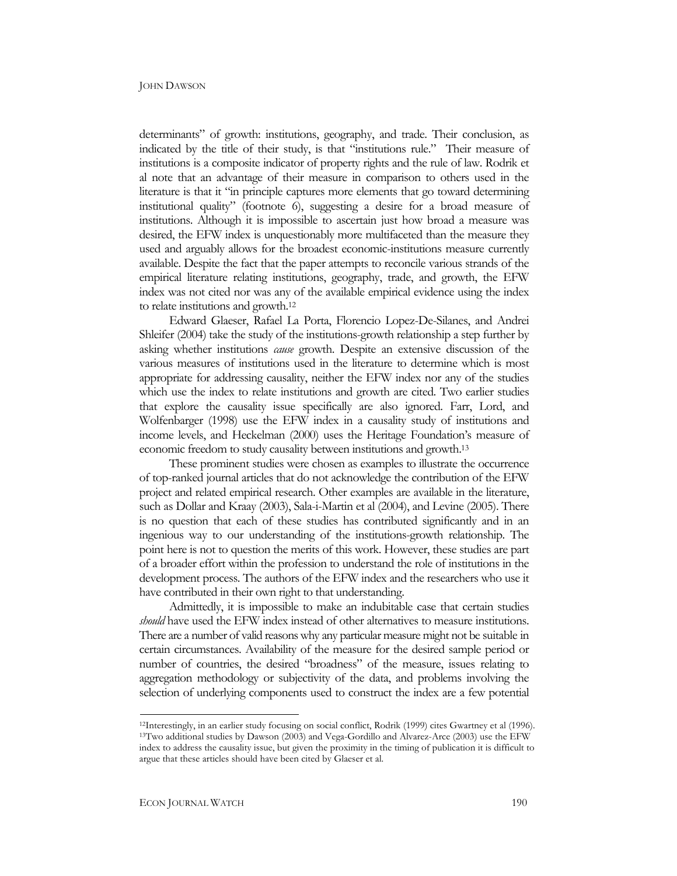determinants" of growth: institutions, geography, and trade. Their conclusion, as indicated by the title of their study, is that "institutions rule." Their measure of institutions is a composite indicator of property rights and the rule of law. Rodrik et al note that an advantage of their measure in comparison to others used in the literature is that it "in principle captures more elements that go toward determining institutional quality" (footnote 6), suggesting a desire for a broad measure of institutions. Although it is impossible to ascertain just how broad a measure was desired, the EFW index is unquestionably more multifaceted than the measure they used and arguably allows for the broadest economic-institutions measure currently available. Despite the fact that the paper attempts to reconcile various strands of the empirical literature relating institutions, geography, trade, and growth, the EFW index was not cited nor was any of the available empirical evidence using the index to relate institutions and growth[.12](#page-6-0)

Edward Glaeser, Rafael La Porta, Florencio Lopez-De-Silanes, and Andrei Shleifer (2004) take the study of the institutions-growth relationship a step further by asking whether institutions *cause* growth. Despite an extensive discussion of the various measures of institutions used in the literature to determine which is most appropriate for addressing causality, neither the EFW index nor any of the studies which use the index to relate institutions and growth are cited. Two earlier studies that explore the causality issue specifically are also ignored. Farr, Lord, and Wolfenbarger (1998) use the EFW index in a causality study of institutions and income levels, and Heckelman (2000) uses the Heritage Foundation's measure of economic freedom to study causality between institutions and growth[.13](#page-6-1)

These prominent studies were chosen as examples to illustrate the occurrence of top-ranked journal articles that do not acknowledge the contribution of the EFW project and related empirical research. Other examples are available in the literature, such as Dollar and Kraay (2003), Sala-i-Martin et al (2004), and Levine (2005). There is no question that each of these studies has contributed significantly and in an ingenious way to our understanding of the institutions-growth relationship. The point here is not to question the merits of this work. However, these studies are part of a broader effort within the profession to understand the role of institutions in the development process. The authors of the EFW index and the researchers who use it have contributed in their own right to that understanding.

Admittedly, it is impossible to make an indubitable case that certain studies *should* have used the EFW index instead of other alternatives to measure institutions. There are a number of valid reasons why any particular measure might not be suitable in certain circumstances. Availability of the measure for the desired sample period or number of countries, the desired "broadness" of the measure, issues relating to aggregation methodology or subjectivity of the data, and problems involving the selection of underlying components used to construct the index are a few potential

<span id="page-6-1"></span><span id="page-6-0"></span><sup>12</sup>Interestingly, in an earlier study focusing on social conflict, Rodrik (1999) cites Gwartney et al (1996). 13Two additional studies by Dawson (2003) and Vega-Gordillo and Alvarez-Arce (2003) use the EFW index to address the causality issue, but given the proximity in the timing of publication it is difficult to argue that these articles should have been cited by Glaeser et al.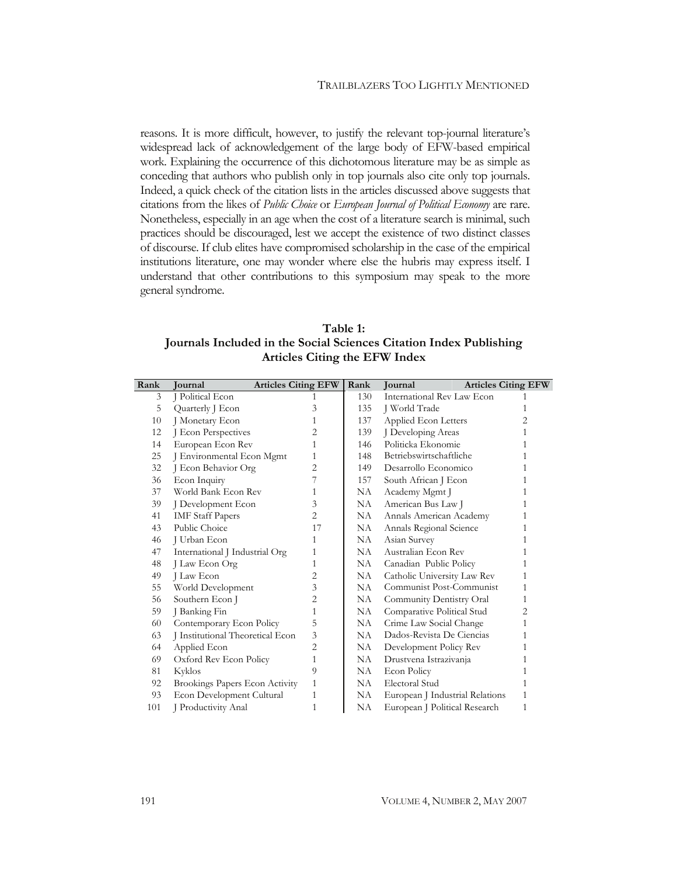reasons. It is more difficult, however, to justify the relevant top-journal literature's reasons. It is more dimension, it is more, to justify the relevant top-journal distances of the relevant top-journal literatures. work. Explaining the occurrence of this dichotomous literature may be as simple as conceding that authors who publish only in top journals also cite only top journals. Indeed, a quick check of the citation lists in the articles discussed above suggests that citations from the likes of *Public Choice* or *European Journal of Political Economy* are rare. Nonetheless, especially in an age when the cost of a literature search is minimal, such citations from the likes of *Public Choice* or *European Journal of Political Economy* are rare. practices should be discouraged, lest we accept the existence of two distinct classes practices in the case of the empirical of discourse. If club elites have compromised scholarship in the case of the empirical Institutions literature, one may wonder where else the hubris may express itself. I institutions included that other contributions to this symposium may speak to the more general syndrome. understand that other contributions to this symposium may speak to the more general syndrome.

**Table 1: Journals Included in the Social Sciences Citation Index Publishing Articles Citing the EFW Index** 

| Rank | <b>Journal</b>                   | <b>Articles Citing EFW</b> | Rank | <b>Journal</b>                  | <b>Articles Citing EFW</b> |
|------|----------------------------------|----------------------------|------|---------------------------------|----------------------------|
| 3    | J Political Econ                 | 1                          | 130  | International Rev Law Econ      |                            |
| 5    | Quarterly J Econ                 | 3                          | 135  | J World Trade                   | 1                          |
| 10   | J Monetary Econ                  | 1                          | 137  | Applied Econ Letters            | 2                          |
| 12   | J Econ Perspectives              | 2                          | 139  | J Developing Areas              | 1                          |
| 14   | European Econ Rev                | 1                          | 146  | Politicka Ekonomie              |                            |
| 25   | J Environmental Econ Mgmt        | 1                          | 148  | Betriebswirtschaftliche         |                            |
| 32   | J Econ Behavior Org              | 2                          | 149  | Desarrollo Economico            | 1                          |
| 36   | Econ Inquiry                     |                            | 157  | South African J Econ            |                            |
| 37   | World Bank Econ Rev              | 1                          | NA   | Academy Mgmt J                  |                            |
| 39   | J Development Econ               | 3                          | NA   | American Bus Law J              | 1                          |
| 41   | <b>IMF</b> Staff Papers          | 2                          | NA   | Annals American Academy         | 1                          |
| 43   | Public Choice                    | 17                         | NA   | Annals Regional Science         |                            |
| 46   | J Urban Econ                     | 1                          | NA   | Asian Survey                    | 1                          |
| 47   | International J Industrial Org   | 1                          | NA   | Australian Econ Rev             | 1                          |
| 48   | J Law Econ Org                   | 1                          | NA.  | Canadian Public Policy          | 1                          |
| 49   | J Law Econ                       | $\overline{2}$             | NA   | Catholic University Law Rev     | 1                          |
| 55   | World Development                | 3                          | NA   | Communist Post-Communist        | 1                          |
| 56   | Southern Econ J                  | 2                          | NA   | Community Dentistry Oral        | 1                          |
| 59   | J Banking Fin                    | 1                          | NA   | Comparative Political Stud      | 2                          |
| 60   | Contemporary Econ Policy         | 5                          | NA   | Crime Law Social Change         | 1                          |
| 63   | J Institutional Theoretical Econ | 3                          | NA   | Dados-Revista De Ciencias       | 1                          |
| 64   | Applied Econ                     | 2                          | NA   | Development Policy Rev          | 1                          |
| 69   | Oxford Rev Econ Policy           | 1                          | NA   | Drustvena Istrazivanja          |                            |
| 81   | Kyklos                           | 9                          | NA   | Econ Policy                     |                            |
| 92   | Brookings Papers Econ Activity   | 1                          | NA   | Electoral Stud                  | 1                          |
| 93   | Econ Development Cultural        | 1                          | NA   | European J Industrial Relations | 1                          |
| 101  | <b>I</b> Productivity Anal       | 1                          | NA   | European J Political Research   | 1                          |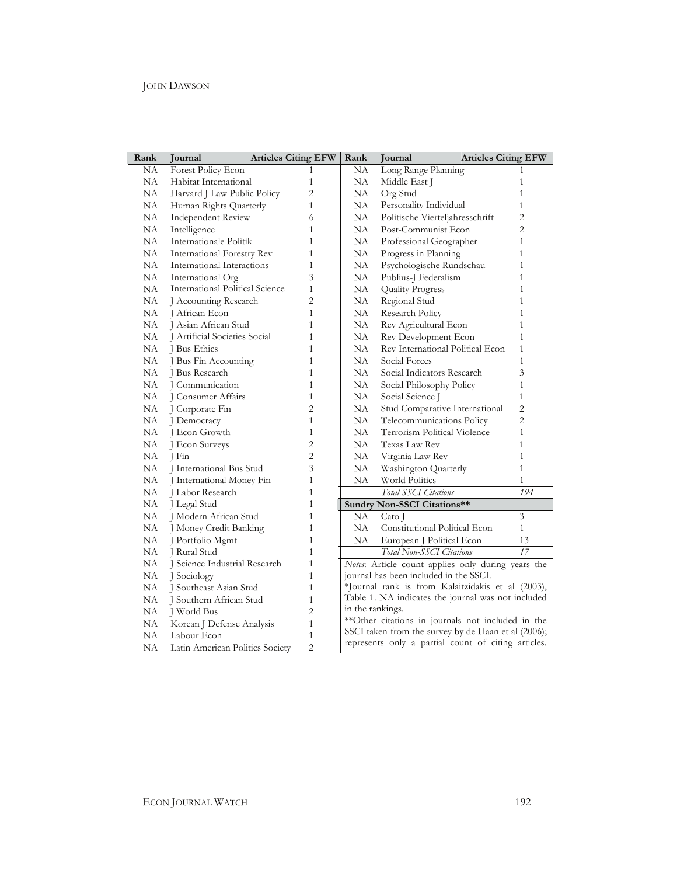| Rank | Journal                         | <b>Articles Citing EFW</b> | Rank                                                                                                     | <b>Articles Citing EFW</b><br>Journal              |                |  |
|------|---------------------------------|----------------------------|----------------------------------------------------------------------------------------------------------|----------------------------------------------------|----------------|--|
| NA   | Forest Policy Econ              | 1                          | NA                                                                                                       | Long Range Planning                                | 1              |  |
| NA   | Habitat International           | $\mathbf{1}$               | NA                                                                                                       | Middle East J                                      | $\mathbf{1}$   |  |
| NA   | Harvard J Law Public Policy     | $\overline{c}$             | NA                                                                                                       | Org Stud                                           | $\mathbf{1}$   |  |
| NA   | Human Rights Quarterly          | $\mathbf{1}$               | NA                                                                                                       | Personality Individual                             | $\mathbf{1}$   |  |
| NA   | <b>Independent Review</b>       | 6                          | NA                                                                                                       | Politische Vierteljahresschrift                    | $\overline{2}$ |  |
| NA   | Intelligence                    | 1                          | NA                                                                                                       | Post-Communist Econ                                | $\overline{2}$ |  |
| NA   | Internationale Politik          | $\mathbf{1}$               | NA                                                                                                       | Professional Geographer                            | $\mathbf{1}$   |  |
| NA   | International Forestry Rev      | $\mathbf{1}$               | NA                                                                                                       | Progress in Planning                               | $\mathbf{1}$   |  |
| NA   | International Interactions      | $\mathbf{1}$               | NA                                                                                                       | Psychologische Rundschau                           | $\mathbf{1}$   |  |
| NA   | International Org               | 3                          | NA                                                                                                       | Publius-J Federalism                               | 1              |  |
| NА   | International Political Science | 1                          | NA                                                                                                       | <b>Quality Progress</b>                            | $\mathbf{1}$   |  |
| NA   | J Accounting Research           | $\overline{2}$             | NA                                                                                                       | Regional Stud                                      | $\mathbf{1}$   |  |
| NА   | J African Econ                  | $\mathbf{1}$               | NA                                                                                                       | Research Policy                                    | $\mathbf{1}$   |  |
| NA   | J Asian African Stud            | 1                          | NA                                                                                                       | Rev Agricultural Econ                              | $\mathbf{1}$   |  |
| NA   | J Artificial Societies Social   | $\mathbf{1}$               | NA                                                                                                       | Rev Development Econ                               | $\mathbf{1}$   |  |
| NA   | J Bus Ethics                    | $\mathbf{1}$               | NA                                                                                                       | Rev International Political Econ                   | $\mathbf{1}$   |  |
| NA   | J Bus Fin Accounting            | $\mathbf{1}$               | NA                                                                                                       | Social Forces                                      | $\mathbf{1}$   |  |
| NA   | J Bus Research                  | $\mathbf{1}$               | NA                                                                                                       | Social Indicators Research                         | 3              |  |
| NA   | I Communication                 | $\mathbf{1}$               | NA                                                                                                       | Social Philosophy Policy                           | $\mathbf{1}$   |  |
| NA   | J Consumer Affairs              | $\mathbf{1}$               | NA                                                                                                       | Social Science J                                   | $\mathbf{1}$   |  |
| NA   | J Corporate Fin                 | $\overline{c}$             | NA                                                                                                       | Stud Comparative International                     | $\overline{2}$ |  |
| NA   | J Democracy                     | $\mathbf{1}$               | NA                                                                                                       | Telecommunications Policy                          | $\overline{2}$ |  |
| NA   | J Econ Growth                   | $\mathbf{1}$               | NA                                                                                                       | Terrorism Political Violence                       | $\mathbf{1}$   |  |
| NA   | J Econ Surveys                  | $\overline{2}$             | NA                                                                                                       | <b>Texas Law Rev</b>                               | $\mathbf{1}$   |  |
| NA   | J Fin                           | $\overline{c}$             | NA                                                                                                       | Virginia Law Rev                                   | $\mathbf{1}$   |  |
| NA   | J International Bus Stud        | 3                          | NA                                                                                                       | Washington Quarterly                               | $\mathbf{1}$   |  |
| NA   | J International Money Fin       | $\mathbf{1}$               | NA                                                                                                       | World Politics                                     | $\mathbf{1}$   |  |
| NA   | J Labor Research                | $\mathbf{1}$               |                                                                                                          | <b>Total SSCI Citations</b>                        | 194            |  |
| NA   | J Legal Stud                    | $\mathbf{1}$               |                                                                                                          | Sundry Non-SSCI Citations**                        |                |  |
| NA   | J Modern African Stud           | 1                          | NΑ                                                                                                       | Cato J                                             | $\overline{3}$ |  |
| NA   | J Money Credit Banking          | $\mathbf{1}$               | NA                                                                                                       | Constitutional Political Econ                      | $\mathbf{1}$   |  |
| NA   | J Portfolio Mgmt                | $\mathbf{1}$               | NA                                                                                                       | European J Political Econ                          | 13             |  |
| NA   | J Rural Stud                    | $\mathbf{1}$               |                                                                                                          | Total Non-SSCI Citations                           | 17             |  |
| NA   | J Science Industrial Research   | $\mathbf{1}$               |                                                                                                          | Notes: Article count applies only during years the |                |  |
| NA   | J Sociology                     | $\mathbf{1}$               | journal has been included in the SSCI.                                                                   |                                                    |                |  |
| NA   | J Southeast Asian Stud          | $\mathbf{1}$               | *Journal rank is from Kalaitzidakis et al (2003),                                                        |                                                    |                |  |
| NA   | J Southern African Stud         | $\mathbf{1}$               | Table 1. NA indicates the journal was not included                                                       |                                                    |                |  |
| NA   | J World Bus                     | $\overline{2}$             | in the rankings.                                                                                         |                                                    |                |  |
| NA   | Korean J Defense Analysis       | $\mathbf{1}$               | **Other citations in journals not included in the<br>SSCI taken from the survey by de Haan et al (2006); |                                                    |                |  |
| NA   | Labour Econ                     | $\mathbf{1}$               |                                                                                                          |                                                    |                |  |
| NA   | Latin American Politics Society | $\overline{2}$             | represents only a partial count of citing articles.                                                      |                                                    |                |  |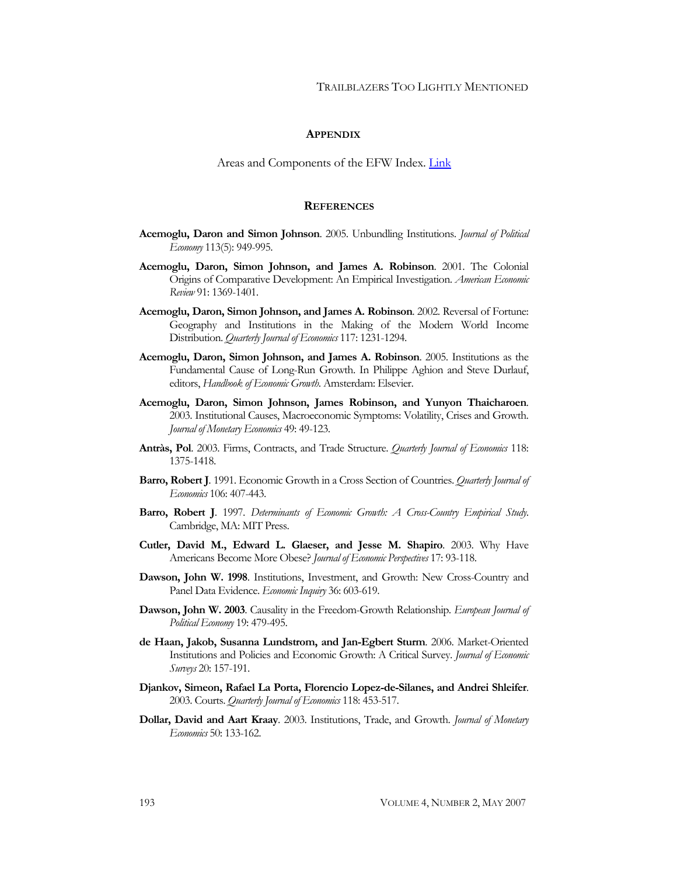#### **APPENDIX**

Areas and Components of the EFW Index. [Link](http://www.econjournalwatch.org/pdf/DawsonAppendixMay2007.pdf)

#### **REFERENCES**

- **Acemoglu, Daron and Simon Johnson**. 2005. Unbundling Institutions. *Journal of Political Economy* 113(5): 949-995.
- **Acemoglu, Daron, Simon Johnson, and James A. Robinson**. 2001. The Colonial Origins of Comparative Development: An Empirical Investigation. *American Economic Review* 91: 1369-1401.
- **Acemoglu, Daron, Simon Johnson, and James A. Robinson**. 2002. Reversal of Fortune: Geography and Institutions in the Making of the Modern World Income Distribution. *Quarterly Journal of Economics* 117: 1231-1294.
- **Acemoglu, Daron, Simon Johnson, and James A. Robinson**. 2005. Institutions as the Fundamental Cause of Long-Run Growth. In Philippe Aghion and Steve Durlauf, editors, *Handbook of Economic Growth*. Amsterdam: Elsevier.
- **Acemoglu, Daron, Simon Johnson, James Robinson, and Yunyon Thaicharoen**. 2003. Institutional Causes, Macroeconomic Symptoms: Volatility, Crises and Growth. *Journal of Monetary Economics* 49: 49-123.
- **Antràs, Pol**. 2003. Firms, Contracts, and Trade Structure. *Quarterly Journal of Economics* 118: 1375-1418.
- **Barro, Robert J**. 1991. Economic Growth in a Cross Section of Countries. *Quarterly Journal of Economics* 106: 407-443.
- **Barro, Robert J**. 1997. *Determinants of Economic Growth: A Cross-Country Empirical Study*. Cambridge, MA: MIT Press.
- **Cutler, David M., Edward L. Glaeser, and Jesse M. Shapiro**. 2003. Why Have Americans Become More Obese? *Journal of Economic Perspectives* 17: 93-118.
- **Dawson, John W. 1998**. Institutions, Investment, and Growth: New Cross-Country and Panel Data Evidence. *Economic Inquiry* 36: 603-619.
- **Dawson, John W. 2003**. Causality in the Freedom-Growth Relationship. *European Journal of Political Economy* 19: 479-495.
- **de Haan, Jakob, Susanna Lundstrom, and Jan-Egbert Sturm**. 2006. Market-Oriented Institutions and Policies and Economic Growth: A Critical Survey. *Journal of Economic Surveys* 20: 157-191.
- **Djankov, Simeon, Rafael La Porta, Florencio Lopez-de-Silanes, and Andrei Shleifer**. 2003. Courts. *Quarterly Journal of Economics* 118: 453-517.
- **Dollar, David and Aart Kraay**. 2003. Institutions, Trade, and Growth. *Journal of Monetary Economics* 50: 133-162.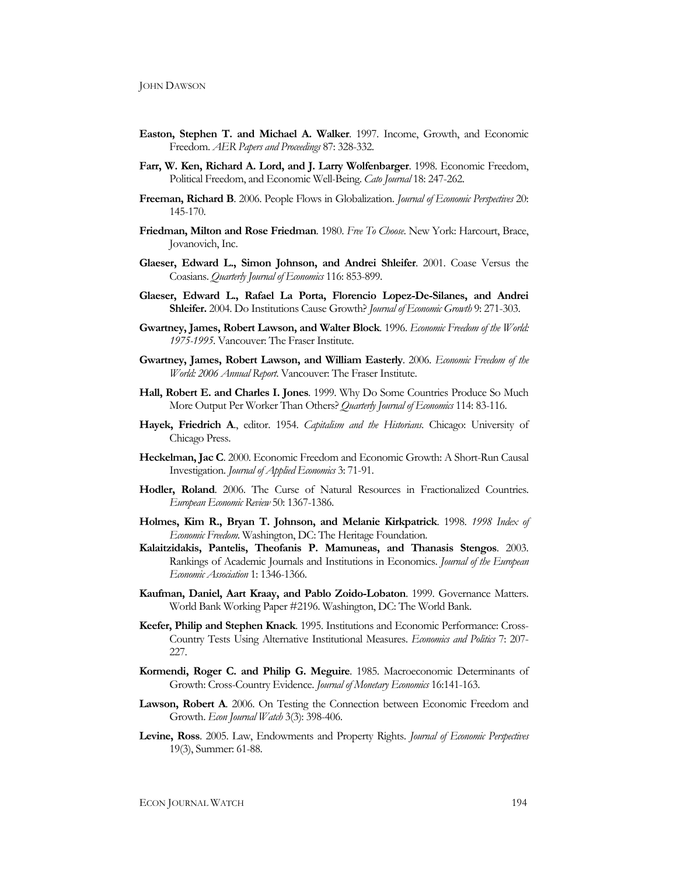- **Easton, Stephen T. and Michael A. Walker**. 1997. Income, Growth, and Economic Freedom. *AER Papers and Proceedings* 87: 328-332.
- **Farr, W. Ken, Richard A. Lord, and J. Larry Wolfenbarger**. 1998. Economic Freedom, Political Freedom, and Economic Well-Being. *Cato Journal* 18: 247-262.
- **Freeman, Richard B**. 2006. People Flows in Globalization. *Journal of Economic Perspectives* 20: 145-170.
- **Friedman, Milton and Rose Friedman**. 1980. *Free To Choose*. New York: Harcourt, Brace, Jovanovich, Inc.
- **Glaeser, Edward L., Simon Johnson, and Andrei Shleifer**. 2001. Coase Versus the Coasians. *Quarterly Journal of Economics* 116: 853-899.
- **Glaeser, Edward L., Rafael La Porta, Florencio Lopez-De-Silanes, and Andrei Shleifer.** 2004. Do Institutions Cause Growth? *Journal of Economic Growth* 9: 271-303.
- **Gwartney, James, Robert Lawson, and Walter Block**. 1996. *Economic Freedom of the World: 1975-1995*. Vancouver: The Fraser Institute.
- **Gwartney, James, Robert Lawson, and William Easterly**. 2006. *Economic Freedom of the World: 2006 Annual Report*. Vancouver: The Fraser Institute.
- **Hall, Robert E. and Charles I. Jones**. 1999. Why Do Some Countries Produce So Much More Output Per Worker Than Others? *Quarterly Journal of Economics* 114: 83-116.
- **Hayek, Friedrich A**., editor. 1954. *Capitalism and the Historians*. Chicago: University of Chicago Press.
- **Heckelman, Jac C**. 2000. Economic Freedom and Economic Growth: A Short-Run Causal Investigation. *Journal of Applied Economics* 3: 71-91.
- **Hodler, Roland**. 2006. The Curse of Natural Resources in Fractionalized Countries. *European Economic Review* 50: 1367-1386.
- **Holmes, Kim R., Bryan T. Johnson, and Melanie Kirkpatrick**. 1998. *1998 Index of Economic Freedom*. Washington, DC: The Heritage Foundation.
- **Kalaitzidakis, Pantelis, Theofanis P. Mamuneas, and Thanasis Stengos**. 2003. Rankings of Academic Journals and Institutions in Economics. *Journal of the European Economic Association* 1: 1346-1366.
- **Kaufman, Daniel, Aart Kraay, and Pablo Zoido-Lobaton**. 1999. Governance Matters. World Bank Working Paper #2196. Washington, DC: The World Bank.
- **Keefer, Philip and Stephen Knack**. 1995. Institutions and Economic Performance: Cross-Country Tests Using Alternative Institutional Measures. *Economics and Politics* 7: 207- 227.
- **Kormendi, Roger C. and Philip G. Meguire**. 1985. Macroeconomic Determinants of Growth: Cross-Country Evidence. *Journal of Monetary Economics* 16:141-163.
- **Lawson, Robert A**. 2006. On Testing the Connection between Economic Freedom and Growth. *Econ Journal Watch* 3(3): 398-406.
- **Levine, Ross**. 2005. Law, Endowments and Property Rights. *Journal of Economic Perspectives* 19(3), Summer: 61-88.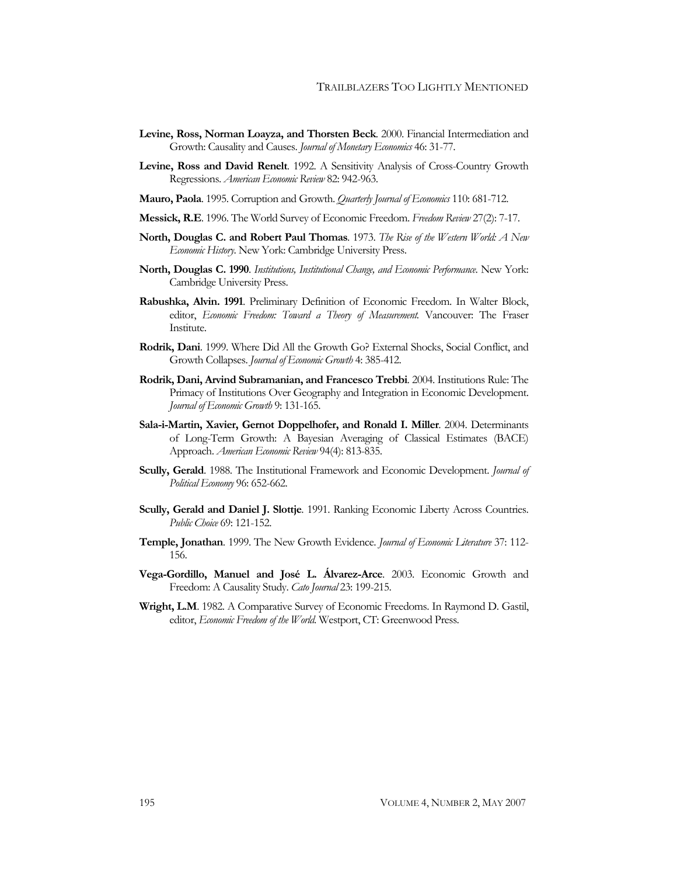- **Levine, Ross, Norman Loayza, and Thorsten Beck**. 2000. Financial Intermediation and Growth: Causality and Causes. *Journal of Monetary Economics* 46: 31-77.
- **Levine, Ross and David Renelt**. 1992. A Sensitivity Analysis of Cross-Country Growth Regressions. *American Economic Review* 82: 942-963.
- **Mauro, Paola**. 1995. Corruption and Growth. *Quarterly Journal of Economics* 110: 681-712.
- **Messick, R.E**. 1996. The World Survey of Economic Freedom. *Freedom Review* 27(2): 7-17.
- **North, Douglas C. and Robert Paul Thomas**. 1973. *The Rise of the Western World: A New Economic History*. New York: Cambridge University Press.
- **North, Douglas C. 1990**. *Institutions, Institutional Change, and Economic Performance*. New York: Cambridge University Press.
- **Rabushka, Alvin. 1991**. Preliminary Definition of Economic Freedom. In Walter Block, editor, *Economic Freedom: Toward a Theory of Measurement.* Vancouver: The Fraser Institute.
- **Rodrik, Dani**. 1999. Where Did All the Growth Go? External Shocks, Social Conflict, and Growth Collapses. *Journal of Economic Growth* 4: 385-412.
- **Rodrik, Dani, Arvind Subramanian, and Francesco Trebbi**. 2004. Institutions Rule: The Primacy of Institutions Over Geography and Integration in Economic Development. *Journal of Economic Growth* 9: 131-165.
- **Sala-i-Martin, Xavier, Gernot Doppelhofer, and Ronald I. Miller**. 2004. Determinants of Long-Term Growth: A Bayesian Averaging of Classical Estimates (BACE) Approach. *American Economic Review* 94(4): 813-835.
- **Scully, Gerald**. 1988. The Institutional Framework and Economic Development. *Journal of Political Economy* 96: 652-662.
- **Scully, Gerald and Daniel J. Slottje**. 1991. Ranking Economic Liberty Across Countries. *Public Choice* 69: 121-152.
- **Temple, Jonathan**. 1999. The New Growth Evidence. *Journal of Economic Literature* 37: 112- 156.
- **Vega-Gordillo, Manuel and José L. Álvarez-Arce**. 2003. Economic Growth and Freedom: A Causality Study. *Cato Journal* 23: 199-215.
- **Wright, L.M**. 1982. A Comparative Survey of Economic Freedoms. In Raymond D. Gastil, editor, *Economic Freedom of the World*. Westport, CT: Greenwood Press.